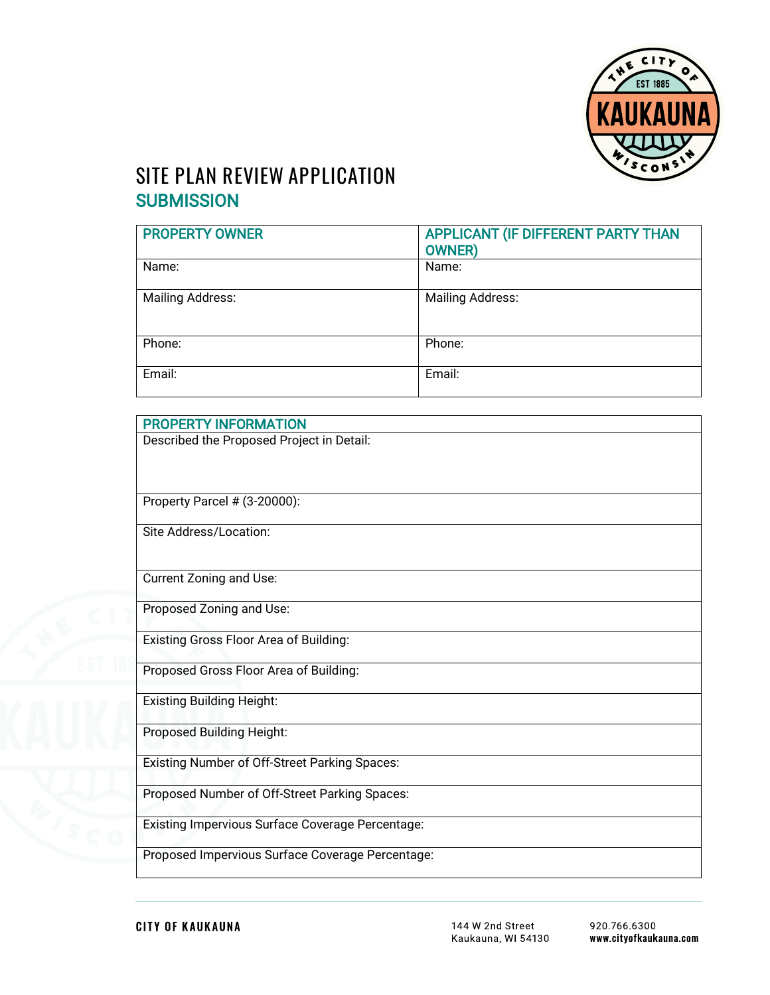

# **SITE PLAN REVIEW APPLICATION SUBMISSION**

| <b>PROPERTY OWNER</b>   | APPLICANT (IF DIFFERENT PARTY THAN<br><b>OWNER</b> ) |
|-------------------------|------------------------------------------------------|
| Name:                   | Name:                                                |
| <b>Mailing Address:</b> | <b>Mailing Address:</b>                              |
| Phone:                  | Phone:                                               |
| Email:                  | Email:                                               |

| <b>PROPERTY INFORMATION</b>                             |  |
|---------------------------------------------------------|--|
| Described the Proposed Project in Detail:               |  |
|                                                         |  |
|                                                         |  |
| Property Parcel # (3-20000):                            |  |
|                                                         |  |
| Site Address/Location:                                  |  |
|                                                         |  |
| Current Zoning and Use:                                 |  |
|                                                         |  |
| Proposed Zoning and Use:                                |  |
| <b>Existing Gross Floor Area of Building:</b>           |  |
|                                                         |  |
| Proposed Gross Floor Area of Building:                  |  |
|                                                         |  |
| <b>Existing Building Height:</b>                        |  |
| Proposed Building Height:                               |  |
|                                                         |  |
| <b>Existing Number of Off-Street Parking Spaces:</b>    |  |
|                                                         |  |
| Proposed Number of Off-Street Parking Spaces:           |  |
| <b>Existing Impervious Surface Coverage Percentage:</b> |  |
|                                                         |  |
| Proposed Impervious Surface Coverage Percentage:        |  |
|                                                         |  |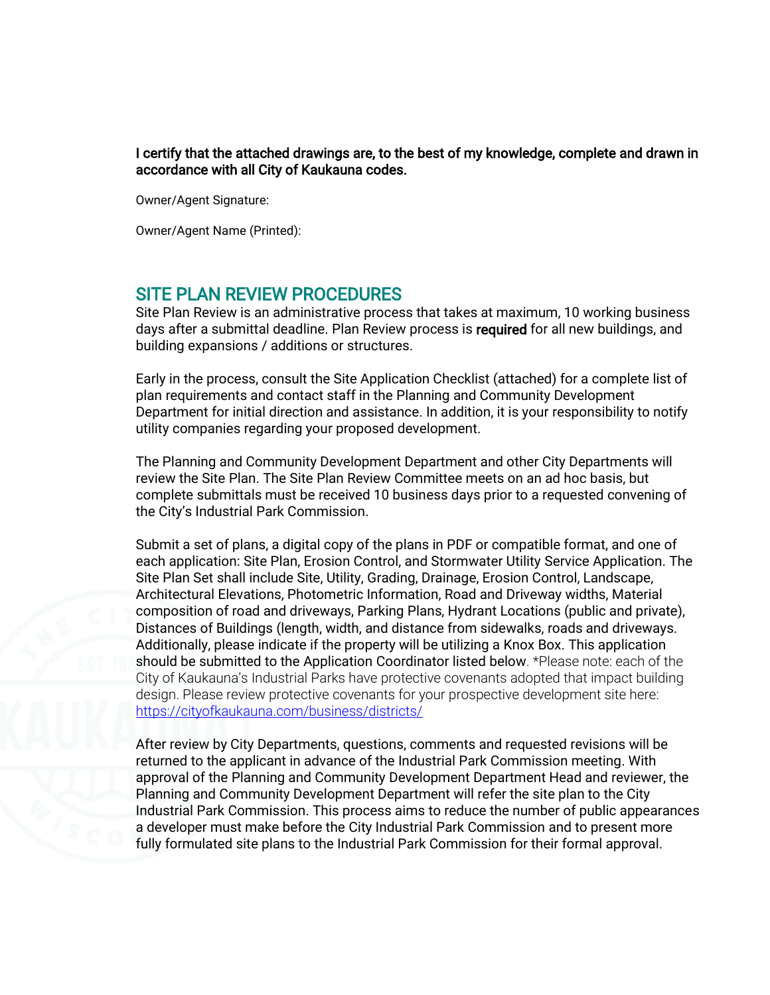I certify that the attached drawings are, to the best of my knowledge, complete and drawn in accordance with all City of Kaukauna codes.

Owner/Agent Signature:

Owner/Agent Name (Printed):

#### SITE PLAN REVIEW PROCEDURES

Site Plan Review is an administrative process that takes at maximum, 10 working business days after a submittal deadline. Plan Review process is required for all new buildings, and building expansions / additions or structures.

Early in the process, consult the Site Application Checklist (attached) for a complete list of plan requirements and contact staff in the Planning and Community Development Department for initial direction and assistance. In addition, it is your responsibility to notify utility companies regarding your proposed development.

The Planning and Community Development Department and other City Departments will review the Site Plan. The Site Plan Review Committee meets on an ad hoc basis, but complete submittals must be received 10 business days prior to a requested convening of the City's Industrial Park Commission.

Submit a set of plans, a digital copy of the plans in PDF or compatible format, and one of each application: Site Plan, Erosion Control, and Stormwater Utility Service Application. The Site Plan Set shall include Site, Utility, Grading, Drainage, Erosion Control, Landscape, Architectural Elevations, Photometric Information, Road and Driveway widths, Material composition of road and driveways, Parking Plans, Hydrant Locations (public and private), Distances of Buildings (length, width, and distance from sidewalks, roads and driveways. Additionally, please indicate if the property will be utilizing a Knox Box. This application should be submitted to the Application Coordinator listed below. \*Please note: each of the City of Kaukauna's Industrial Parks have protective covenants adopted that impact building design. Please review protective covenants for your prospective development site here: <https://cityofkaukauna.com/business/districts/>

After review by City Departments, questions, comments and requested revisions will be returned to the applicant in advance of the Industrial Park Commission meeting. With approval of the Planning and Community Development Department Head and reviewer, the Planning and Community Development Department will refer the site plan to the City Industrial Park Commission. This process aims to reduce the number of public appearances a developer must make before the City Industrial Park Commission and to present more fully formulated site plans to the Industrial Park Commission for their formal approval.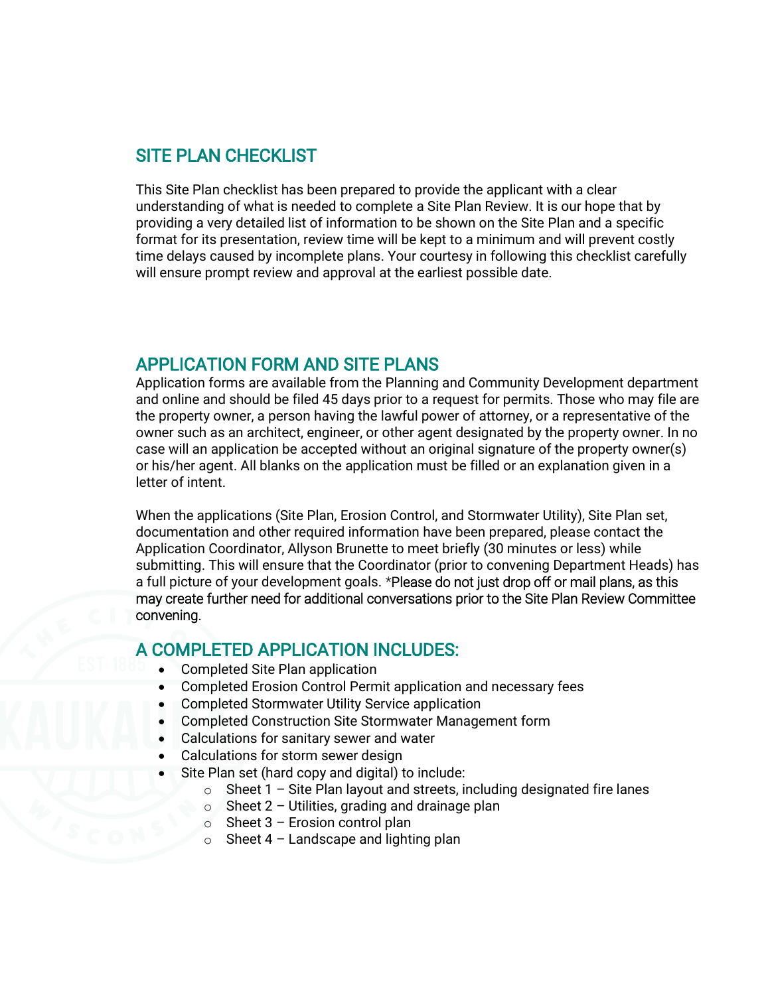#### SITE PLAN CHECKLIST

This Site Plan checklist has been prepared to provide the applicant with a clear understanding of what is needed to complete a Site Plan Review. It is our hope that by providing a very detailed list of information to be shown on the Site Plan and a specific format for its presentation, review time will be kept to a minimum and will prevent costly time delays caused by incomplete plans. Your courtesy in following this checklist carefully will ensure prompt review and approval at the earliest possible date.

## APPLICATION FORM AND SITE PLANS

Application forms are available from the Planning and Community Development department and online and should be filed 45 days prior to a request for permits. Those who may file are the property owner, a person having the lawful power of attorney, or a representative of the owner such as an architect, engineer, or other agent designated by the property owner. In no case will an application be accepted without an original signature of the property owner(s) or his/her agent. All blanks on the application must be filled or an explanation given in a letter of intent.

When the applications (Site Plan, Erosion Control, and Stormwater Utility), Site Plan set, documentation and other required information have been prepared, please contact the Application Coordinator, Allyson Brunette to meet briefly (30 minutes or less) while submitting. This will ensure that the Coordinator (prior to convening Department Heads) has a full picture of your development goals. \*Please do not just drop off or mail plans, as this may create further need for additional conversations prior to the Site Plan Review Committee convening.

## A COMPLETED APPLICATION INCLUDES:

- Completed Site Plan application
- Completed Erosion Control Permit application and necessary fees
- Completed Stormwater Utility Service application
- Completed Construction Site Stormwater Management form
- Calculations for sanitary sewer and water
- Calculations for storm sewer design
- Site Plan set (hard copy and digital) to include:
	- $\circ$  Sheet 1 Site Plan layout and streets, including designated fire lanes
	- $\circ$  Sheet 2 Utilities, grading and drainage plan
	- $\circ$  Sheet 3 Erosion control plan
	- $\circ$  Sheet 4 Landscape and lighting plan